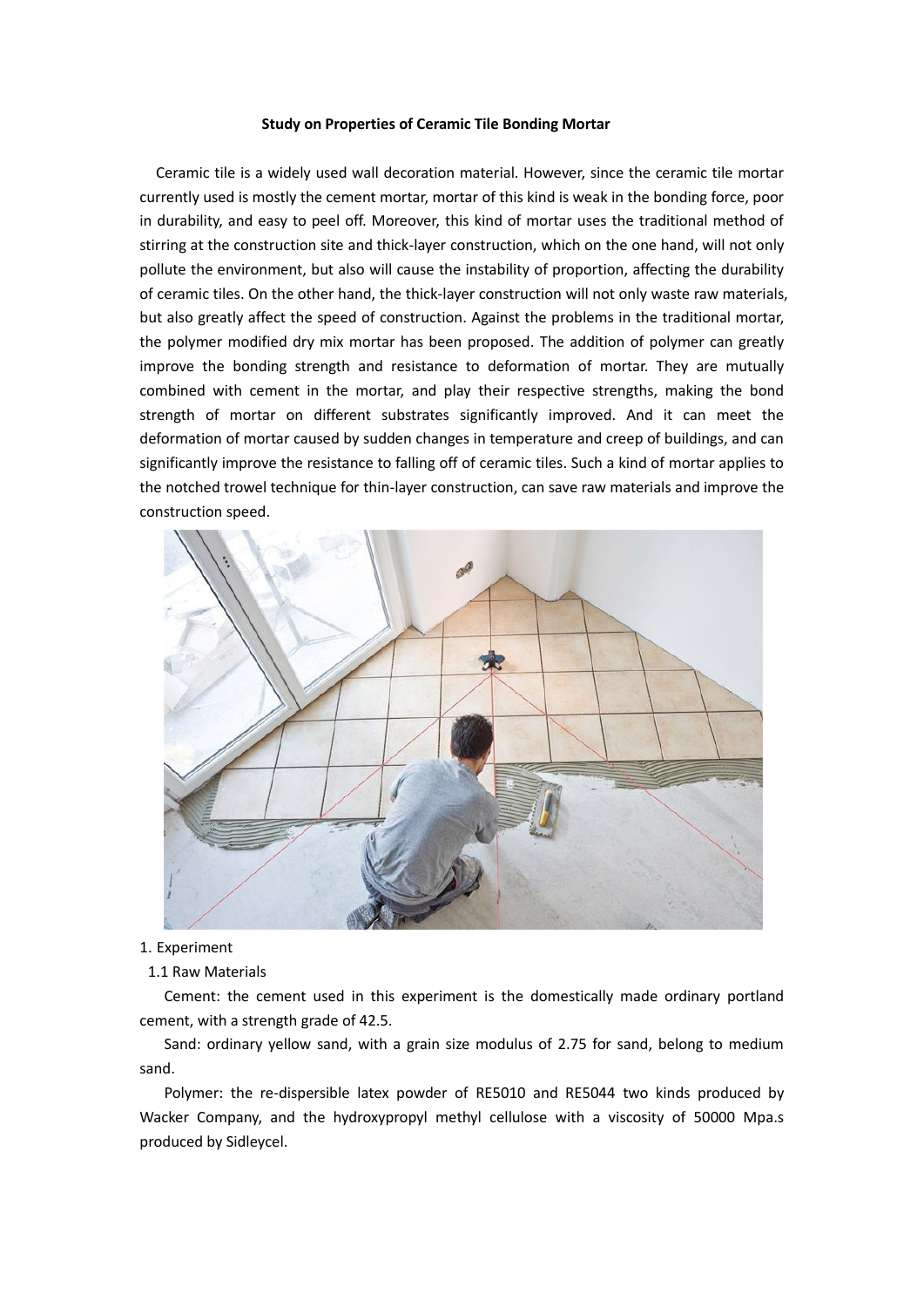#### **Study on Properties of Ceramic Tile Bonding Mortar**

 Ceramic tile is a widely used wall decoration material. However, since the ceramic tile mortar currently used is mostly the cement mortar, mortar of this kind is weak in the bonding force, poor in durability, and easy to peel off. Moreover, this kind of mortar uses the traditional method of stirring at the construction site and thick-layer construction, which on the one hand, will not only pollute the environment, but also will cause the instability of proportion, affecting the durability of ceramic tiles. On the other hand, the thick-layer construction will not only waste raw materials, but also greatly affect the speed of construction. Against the problems in the traditional mortar, the polymer modified dry mix mortar has been proposed. The addition of polymer can greatly improve the bonding strength and resistance to deformation of mortar. They are mutually combined with cement in the mortar, and play their respective strengths, making the bond strength of mortar on different substrates significantly improved. And it can meet the deformation of mortar caused by sudden changes in temperature and creep of buildings, and can significantly improve the resistance to falling off of ceramic tiles. Such a kind of mortar applies to the notched trowel technique for thin-layer construction, can save raw materials and improve the construction speed.



#### 1. Experiment

### 1.1 Raw Materials

 Cement: the cement used in this experiment is the domestically made ordinary portland cement, with a strength grade of 42.5.

 Sand: ordinary yellow sand, with a grain size modulus of 2.75 for sand, belong to medium sand.

 Polymer: the re-dispersible latex powder of RE5010 and RE5044 two kinds produced by Wacker Company, and the hydroxypropyl methyl cellulose with a viscosity of 50000 Mpa.s produced by Sidleycel.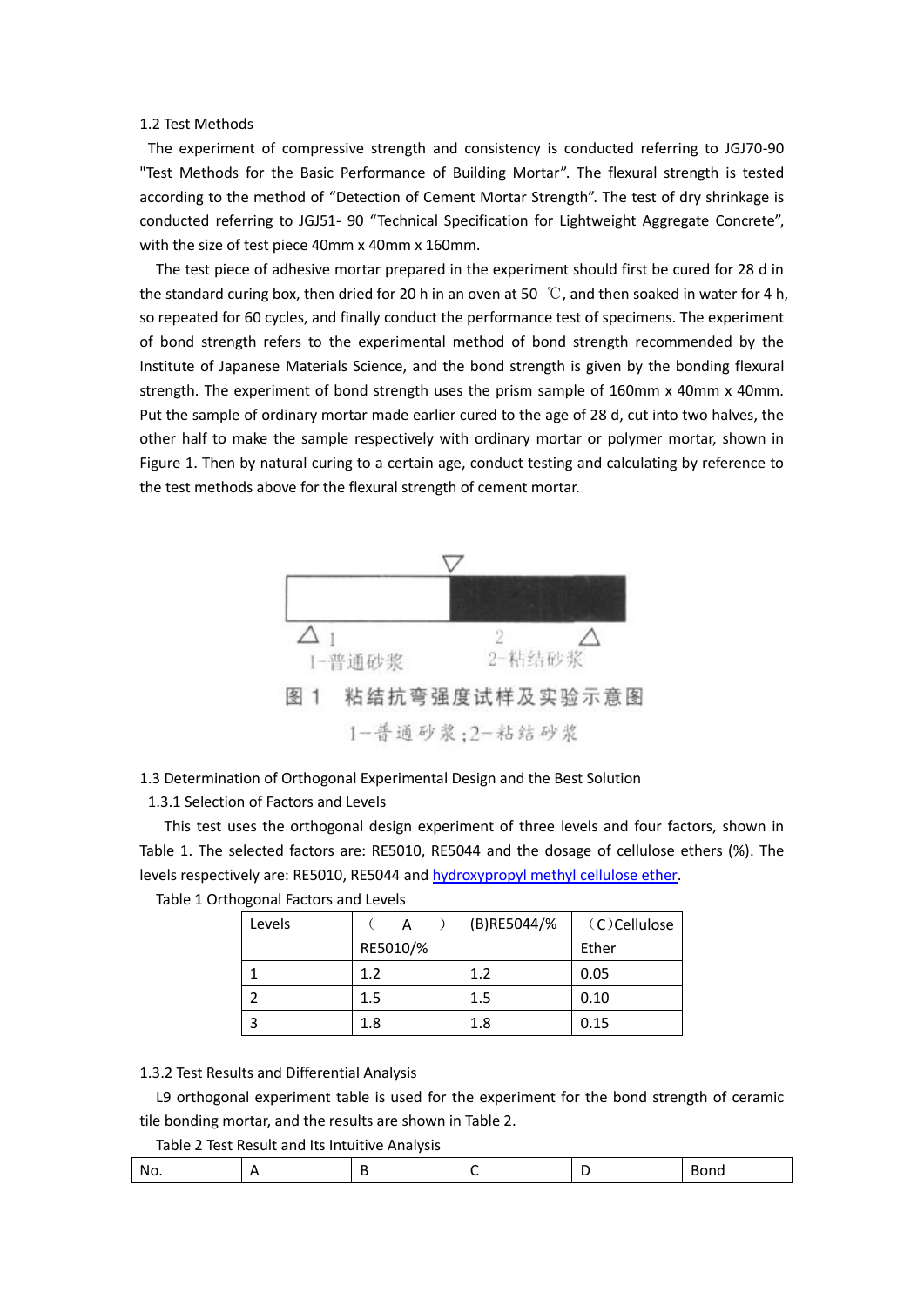## 1.2 Test Methods

The experiment of compressive strength and consistency is conducted referring to JGJ70-90 "Test Methods for the Basic Performance of Building Mortar". The flexural strength is tested according to the method of "Detection of Cement Mortar Strength". The test of dry shrinkage is conducted referring to JGJ51- 90 "Technical Specification for Lightweight Aggregate Concrete", with the size of test piece 40mm x 40mm x 160mm.

 The test piece of adhesive mortar prepared in the experiment should first be cured for 28 d in the standard curing box, then dried for 20 h in an oven at 50  $°C$ , and then soaked in water for 4 h, so repeated for 60 cycles, and finally conduct the performance test of specimens. The experiment of bond strength refers to the experimental method of bond strength recommended by the Institute of Japanese Materials Science, and the bond strength is given by the bonding flexural strength. The experiment of bond strength uses the prism sample of 160mm x 40mm x 40mm. Put the sample of ordinary mortar made earlier cured to the age of 28 d, cut into two halves, the other half to make the sample respectively with ordinary mortar or polymer mortar, shown in Figure 1. Then by natural curing to a certain age, conduct testing and calculating by reference to the test methods above for the flexural strength of cement mortar.



# 1.3 Determination of Orthogonal Experimental Design and the Best Solution

1.3.1 Selection of Factors and Levels

 This test uses the orthogonal design experiment of three levels and four factors, shown in Table 1. The selected factors are: RE5010, RE5044 and the dosage of cellulose ethers (%). The levels respectively are: RE5010, RE5044 an[d hydroxypropyl methyl cellulose ether.](http://celluloseether.com/)

| Levels |          | (B)RE5044/% | (C)Cellulose |
|--------|----------|-------------|--------------|
|        | RE5010/% |             | Ether        |
|        | 1.2      | 1.2         | 0.05         |
|        | 1.5      | 1.5         | 0.10         |
|        | 1.8      | 1.8         | 0.15         |

Table 1 Orthogonal Factors and Levels

## 1.3.2 Test Results and Differential Analysis

 L9 orthogonal experiment table is used for the experiment for the bond strength of ceramic tile bonding mortar, and the results are shown in Table 2.

Table 2 Test Result and Its Intuitive Analysis

| W.<br>. .<br>$\sim$ |  |  | 11V |
|---------------------|--|--|-----|
|                     |  |  |     |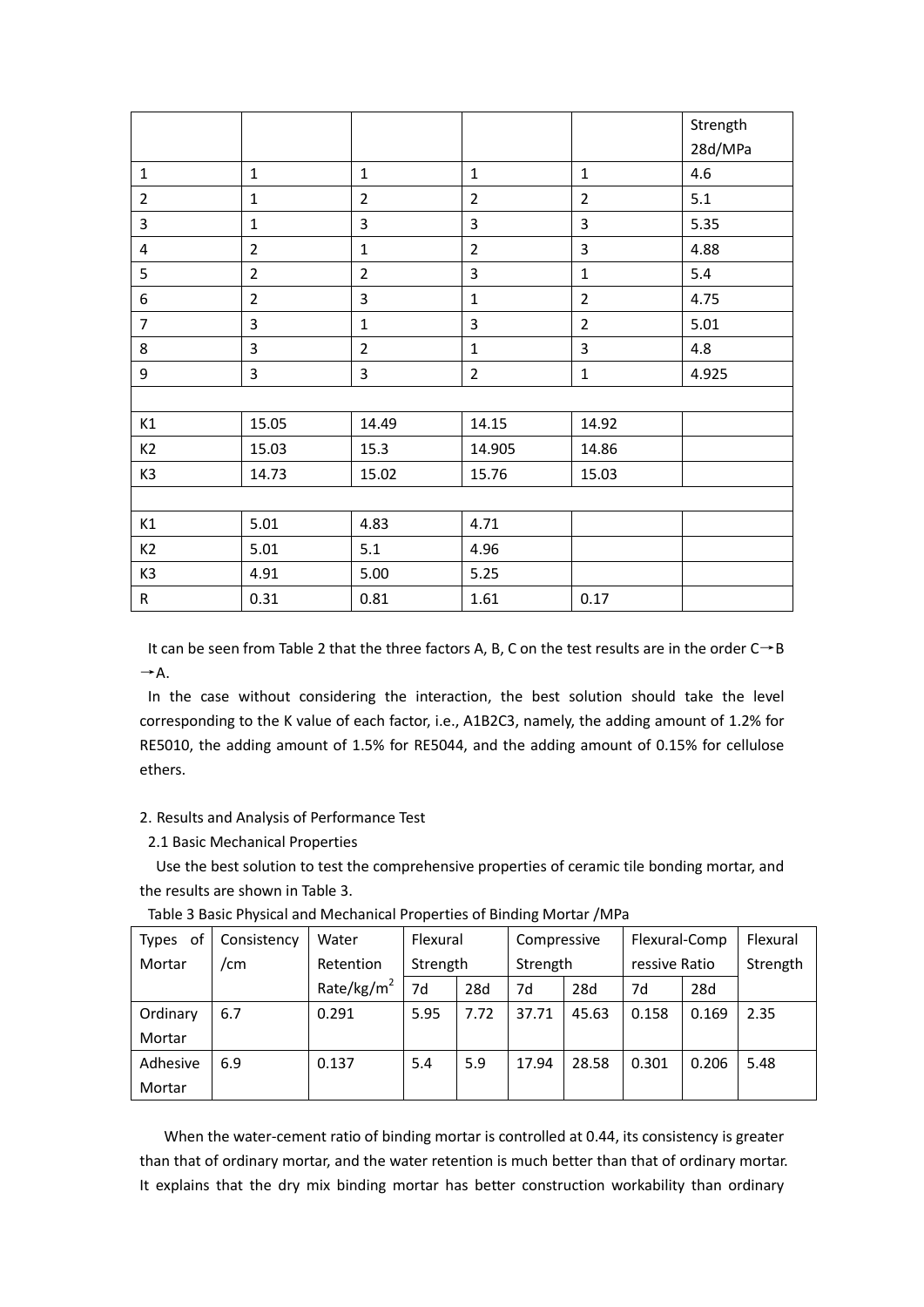|                |                |                                              |                |                | Strength |  |
|----------------|----------------|----------------------------------------------|----------------|----------------|----------|--|
|                |                |                                              |                |                | 28d/MPa  |  |
| $\mathbf{1}$   | $\mathbf{1}$   | $\mathbf{1}$<br>$\mathbf{1}$<br>$\mathbf{1}$ |                | 4.6            |          |  |
| $\overline{2}$ | $\mathbf{1}$   | $\overline{2}$                               | $\overline{2}$ | $\overline{2}$ | 5.1      |  |
| 3              | $\mathbf{1}$   | 3                                            | 3              | 3              | 5.35     |  |
| 4              | $\overline{2}$ | $\mathbf 1$                                  | $\overline{2}$ | 3              | 4.88     |  |
| 5              | $\overline{2}$ | $\overline{2}$                               | 3              | $\mathbf{1}$   | 5.4      |  |
| 6              | $\overline{2}$ | $\overline{3}$                               | $\mathbf 1$    | $\overline{2}$ | 4.75     |  |
| $\overline{7}$ | $\overline{3}$ | $\mathbf{1}$                                 | $\overline{3}$ | $\overline{2}$ | 5.01     |  |
| 8              | 3              | $\overline{2}$                               | $\mathbf 1$    | 3              | 4.8      |  |
| 9              | $\mathbf{3}$   | 3                                            | $\overline{2}$ | $\mathbf{1}$   | 4.925    |  |
|                |                |                                              |                |                |          |  |
| K1             | 15.05          | 14.49                                        | 14.15          | 14.92          |          |  |
| K <sub>2</sub> | 15.03          | 15.3                                         | 14.905         | 14.86          |          |  |
| K3             | 14.73          | 15.02                                        | 15.76          | 15.03          |          |  |
|                |                |                                              |                |                |          |  |
| K1             | 5.01           | 4.83                                         | 4.71           |                |          |  |
| K <sub>2</sub> | 5.01           | 5.1                                          | 4.96           |                |          |  |
| K3             | 4.91           | 5.00                                         | 5.25           |                |          |  |
| $\sf R$        | 0.31           | 0.81                                         | 1.61           | 0.17           |          |  |

It can be seen from Table 2 that the three factors A, B, C on the test results are in the order  $C\rightarrow B$  $\rightarrow$  A.

In the case without considering the interaction, the best solution should take the level corresponding to the K value of each factor, i.e., A1B2C3, namely, the adding amount of 1.2% for RE5010, the adding amount of 1.5% for RE5044, and the adding amount of 0.15% for cellulose ethers.

# 2. Results and Analysis of Performance Test

2.1 Basic Mechanical Properties

 Use the best solution to test the comprehensive properties of ceramic tile bonding mortar, and the results are shown in Table 3.

| of<br>Types | Consistency | Water         | Flexural |      | Compressive |       | Flexural-Comp |       | Flexural |
|-------------|-------------|---------------|----------|------|-------------|-------|---------------|-------|----------|
| Mortar      | /cm         | Retention     | Strength |      | Strength    |       | ressive Ratio |       | Strength |
|             |             | Rate/kg/ $m2$ | 7d       | 28d  | 7d          | 28d   | 7d            | 28d   |          |
| Ordinary    | 6.7         | 0.291         | 5.95     | 7.72 | 37.71       | 45.63 | 0.158         | 0.169 | 2.35     |
| Mortar      |             |               |          |      |             |       |               |       |          |
| Adhesive    | 6.9         | 0.137         | 5.4      | 5.9  | 17.94       | 28.58 | 0.301         | 0.206 | 5.48     |
| Mortar      |             |               |          |      |             |       |               |       |          |

Table 3 Basic Physical and Mechanical Properties of Binding Mortar /MPa

When the water-cement ratio of binding mortar is controlled at 0.44, its consistency is greater than that of ordinary mortar, and the water retention is much better than that of ordinary mortar. It explains that the dry mix binding mortar has better construction workability than ordinary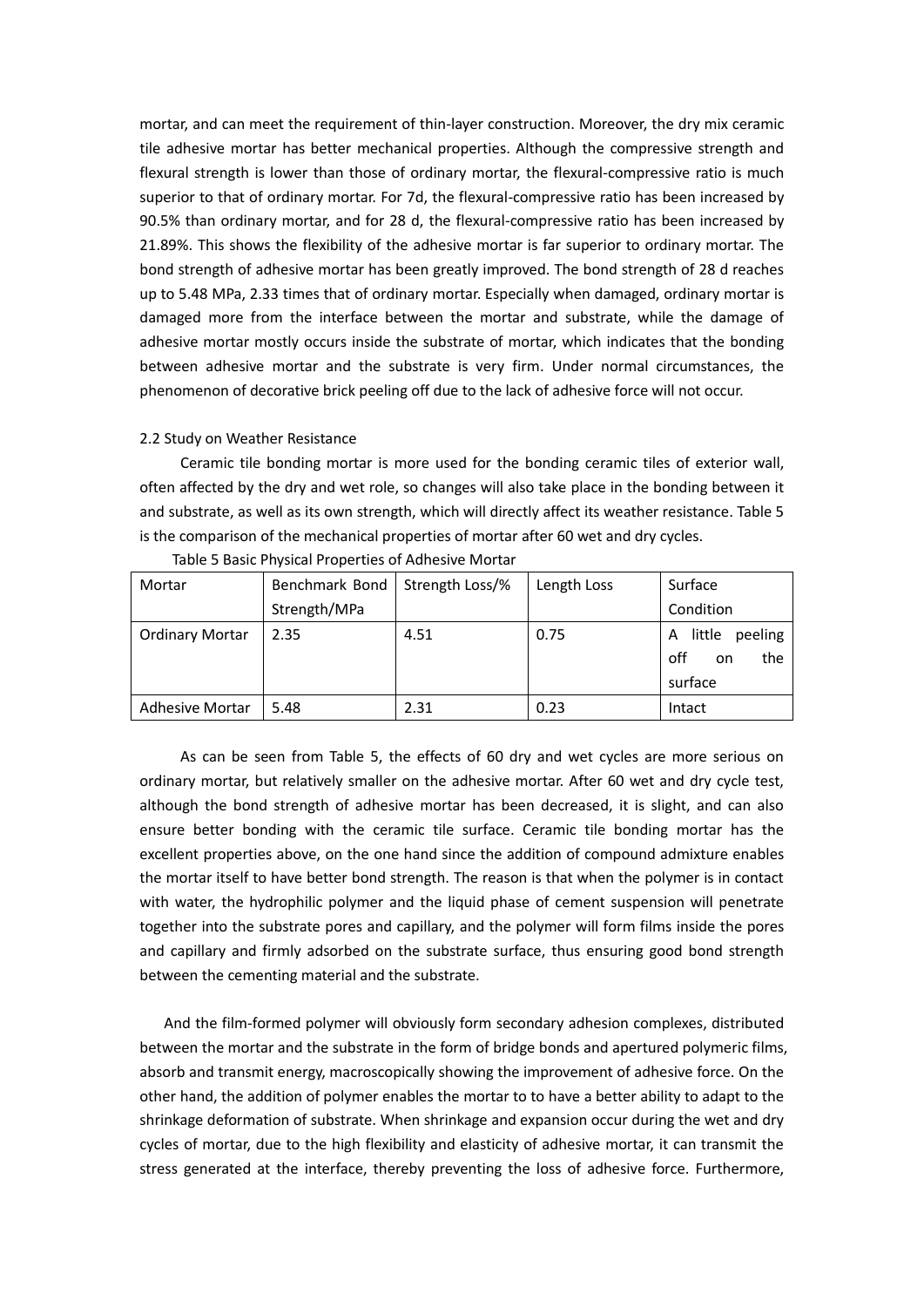mortar, and can meet the requirement of thin-layer construction. Moreover, the dry mix ceramic tile adhesive mortar has better mechanical properties. Although the compressive strength and flexural strength is lower than those of ordinary mortar, the flexural-compressive ratio is much superior to that of ordinary mortar. For 7d, the flexural-compressive ratio has been increased by 90.5% than ordinary mortar, and for 28 d, the flexural-compressive ratio has been increased by 21.89%. This shows the flexibility of the adhesive mortar is far superior to ordinary mortar. The bond strength of adhesive mortar has been greatly improved. The bond strength of 28 d reaches up to 5.48 MPa, 2.33 times that of ordinary mortar. Especially when damaged, ordinary mortar is damaged more from the interface between the mortar and substrate, while the damage of adhesive mortar mostly occurs inside the substrate of mortar, which indicates that the bonding between adhesive mortar and the substrate is very firm. Under normal circumstances, the phenomenon of decorative brick peeling off due to the lack of adhesive force will not occur.

2.2 Study on Weather Resistance

 Ceramic tile bonding mortar is more used for the bonding ceramic tiles of exterior wall, often affected by the dry and wet role, so changes will also take place in the bonding between it and substrate, as well as its own strength, which will directly affect its weather resistance. Table 5 is the comparison of the mechanical properties of mortar after 60 wet and dry cycles.

| Mortar                 | Benchmark Bond | Strength Loss/% | Length Loss | Surface                |  |
|------------------------|----------------|-----------------|-------------|------------------------|--|
|                        | Strength/MPa   |                 |             | Condition              |  |
| <b>Ordinary Mortar</b> | 2.35           | 4.51            | 0.75        | little<br>peeling<br>A |  |
|                        |                |                 |             | off<br>the<br>on       |  |
|                        |                |                 |             | surface                |  |
| <b>Adhesive Mortar</b> | 5.48           | 2.31            | 0.23        | Intact                 |  |

|  |  | Table 5 Basic Physical Properties of Adhesive Mortar |
|--|--|------------------------------------------------------|
|--|--|------------------------------------------------------|

 As can be seen from Table 5, the effects of 60 dry and wet cycles are more serious on ordinary mortar, but relatively smaller on the adhesive mortar. After 60 wet and dry cycle test, although the bond strength of adhesive mortar has been decreased, it is slight, and can also ensure better bonding with the ceramic tile surface. Ceramic tile bonding mortar has the excellent properties above, on the one hand since the addition of compound admixture enables the mortar itself to have better bond strength. The reason is that when the polymer is in contact with water, the hydrophilic polymer and the liquid phase of cement suspension will penetrate together into the substrate pores and capillary, and the polymer will form films inside the pores and capillary and firmly adsorbed on the substrate surface, thus ensuring good bond strength between the cementing material and the substrate.

And the film-formed polymer will obviously form secondary adhesion complexes, distributed between the mortar and the substrate in the form of bridge bonds and apertured polymeric films, absorb and transmit energy, macroscopically showing the improvement of adhesive force. On the other hand, the addition of polymer enables the mortar to to have a better ability to adapt to the shrinkage deformation of substrate. When shrinkage and expansion occur during the wet and dry cycles of mortar, due to the high flexibility and elasticity of adhesive mortar, it can transmit the stress generated at the interface, thereby preventing the loss of adhesive force. Furthermore,